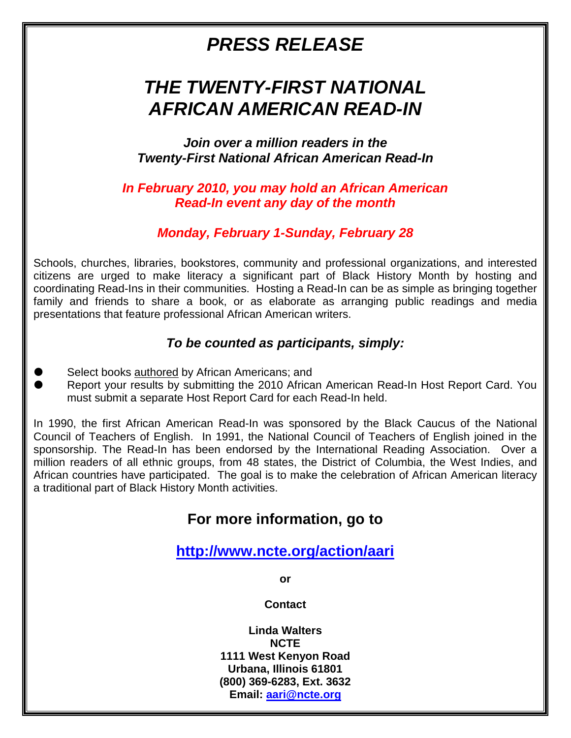# *PRESS RELEASE*

# *THE TWENTY-FIRST NATIONAL AFRICAN AMERICAN READ-IN*

*Join over a million readers in the Twenty-First National African American Read-In*

*In February 2010, you may hold an African American Read-In event any day of the month*

#### *Monday, February 1-Sunday, February 28*

Schools, churches, libraries, bookstores, community and professional organizations, and interested citizens are urged to make literacy a significant part of Black History Month by hosting and coordinating Read-Ins in their communities. Hosting a Read-In can be as simple as bringing together family and friends to share a book, or as elaborate as arranging public readings and media presentations that feature professional African American writers.

#### *To be counted as participants, simply:*

- Select books **authored** by African Americans; and
- Report your results by submitting the 2010 African American Read-In Host Report Card. You must submit a separate Host Report Card for each Read-In held.

In 1990, the first African American Read-In was sponsored by the Black Caucus of the National Council of Teachers of English. In 1991, the National Council of Teachers of English joined in the sponsorship. The Read-In has been endorsed by the International Reading Association. Over a million readers of all ethnic groups, from 48 states, the District of Columbia, the West Indies, and African countries have participated. The goal is to make the celebration of African American literacy a traditional part of Black History Month activities.

## **For more information, go to**

## **<http://www.ncte.org/action/aari>**

**or**

**Contact**

**Linda Walters NCTE 1111 West Kenyon Road Urbana, Illinois 61801 (800) 369-6283, Ext. 3632 Email: [aari@ncte.org](mailto:aari@ncte.org)**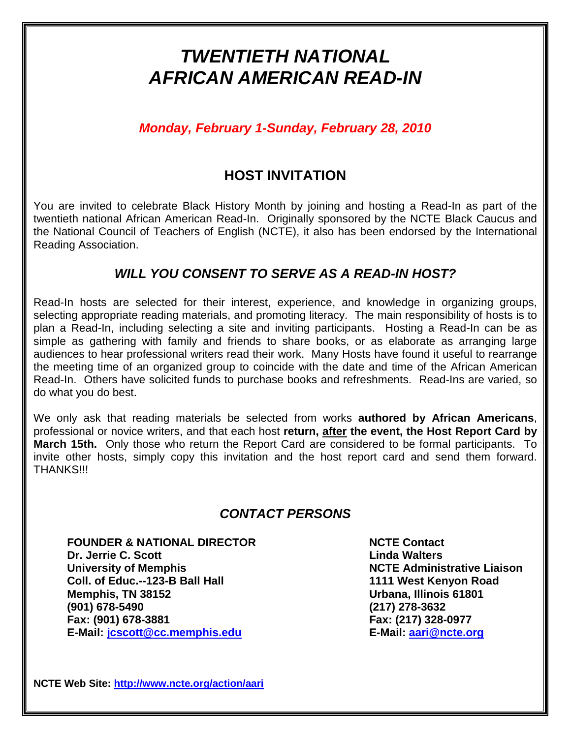# *TWENTIETH NATIONAL AFRICAN AMERICAN READ-IN*

*Monday, February 1-Sunday, February 28, 2010*

## **HOST INVITATION**

You are invited to celebrate Black History Month by joining and hosting a Read-In as part of the twentieth national African American Read-In. Originally sponsored by the NCTE Black Caucus and the National Council of Teachers of English (NCTE), it also has been endorsed by the International Reading Association.

#### *WILL YOU CONSENT TO SERVE AS A READ-IN HOST?*

Read-In hosts are selected for their interest, experience, and knowledge in organizing groups, selecting appropriate reading materials, and promoting literacy. The main responsibility of hosts is to plan a Read-In, including selecting a site and inviting participants. Hosting a Read-In can be as simple as gathering with family and friends to share books, or as elaborate as arranging large audiences to hear professional writers read their work. Many Hosts have found it useful to rearrange the meeting time of an organized group to coincide with the date and time of the African American Read-In. Others have solicited funds to purchase books and refreshments. Read-Ins are varied, so do what you do best.

We only ask that reading materials be selected from works **authored by African Americans**, professional or novice writers, and that each host **return, after the event, the Host Report Card by March 15th.** Only those who return the Report Card are considered to be formal participants. To invite other hosts, simply copy this invitation and the host report card and send them forward. THANKS!!!

#### *CONTACT PERSONS*

**FOUNDER & NATIONAL DIRECTOR NCTE Contact Dr. Jerrie C. Scott Linda Walters University of Memphis NCTE** Administrative Liaison **Coll. of Educ.--123-B Ball Hall 1111 West Kenyon Road Memphis, TN 38152 Urbana, Illinois 61801 (901) 678-5490 (217) 278-3632 Fax: (901) 678-3881 Fax: (217) 328-0977 E-Mail: [jcscott@cc.memphis.edu](mailto:jcscott@cc.memphis.edu) E-Mail: [aari@ncte.org](mailto:aari@ncte.org)**

**NCTE Web Site: <http://www.ncte.org/action/aari>**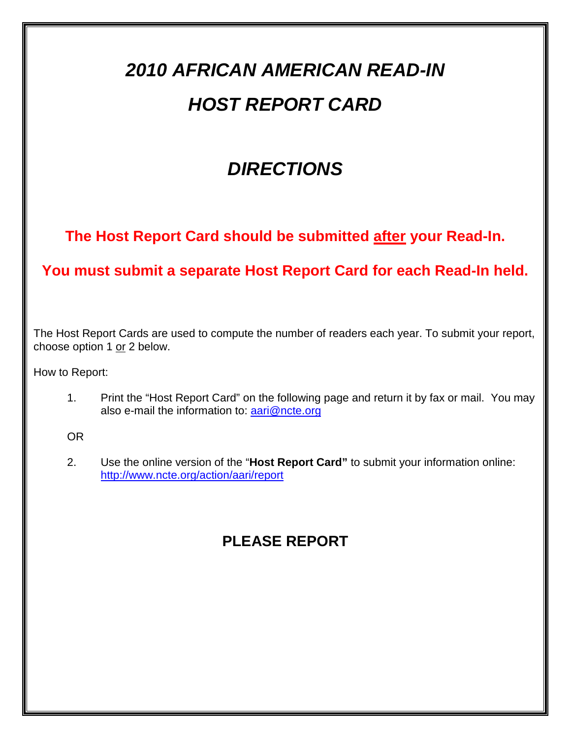# *2010 AFRICAN AMERICAN READ-IN HOST REPORT CARD*

# *DIRECTIONS*

**The Host Report Card should be submitted after your Read-In.**

## **You must submit a separate Host Report Card for each Read-In held.**

The Host Report Cards are used to compute the number of readers each year. To submit your report, choose option 1 or 2 below.

How to Report:

1. Print the "Host Report Card" on the following page and return it by fax or mail. You may also e-mail the information to: [aari@ncte.org](mailto:aari@ncte.org)

OR

2. Use the online version of the "**Host Report Card"** to submit your information online: <http://www.ncte.org/action/aari/report>

## **PLEASE REPORT**